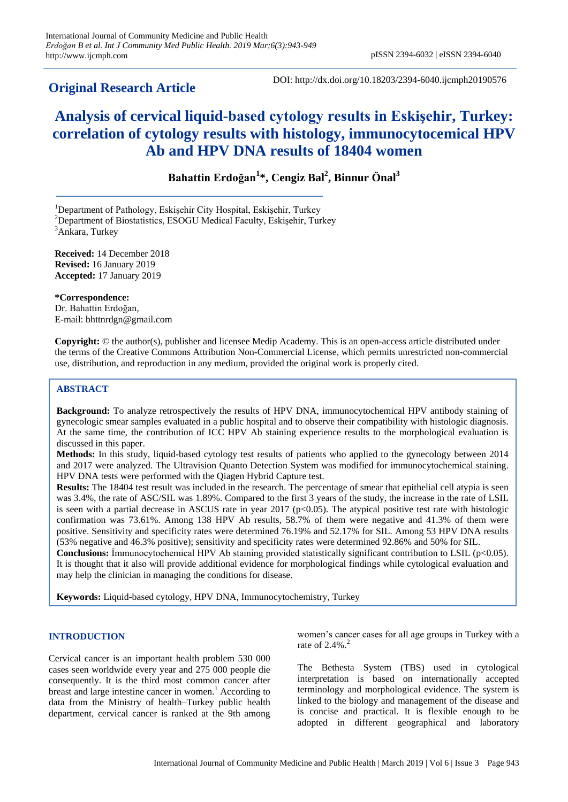# **Original Research Article**

DOI: http://dx.doi.org/10.18203/2394-6040.ijcmph20190576

# **Analysis of cervical liquid-based cytology results in Eskişehir, Turkey: correlation of cytology results with histology, immunocytocemical HPV Ab and HPV DNA results of 18404 women**

# **Bahattin Erdoğan<sup>1</sup> \*, Cengiz Bal<sup>2</sup> , Binnur Önal<sup>3</sup>**

<sup>1</sup>Department of Pathology, Eskişehir City Hospital, Eskişehir, Turkey

 $2$ Department of Biostatistics, ESOGU Medical Faculty, Eskişehir, Turkey <sup>3</sup>Ankara, Turkey

**Received:** 14 December 2018 **Revised:** 16 January 2019 **Accepted:** 17 January 2019

**\*Correspondence:** Dr. Bahattin Erdoğan, E-mail: bhttnrdgn@gmail.com

**Copyright:** © the author(s), publisher and licensee Medip Academy. This is an open-access article distributed under the terms of the Creative Commons Attribution Non-Commercial License, which permits unrestricted non-commercial use, distribution, and reproduction in any medium, provided the original work is properly cited.

# **ABSTRACT**

**Background:** To analyze retrospectively the results of HPV DNA, immunocytochemical HPV antibody staining of gynecologic smear samples evaluated in a public hospital and to observe their compatibility with histologic diagnosis. At the same time, the contribution of ICC HPV Ab staining experience results to the morphological evaluation is discussed in this paper.

**Methods:** In this study, liquid-based cytology test results of patients who applied to the gynecology between 2014 and 2017 were analyzed. The Ultravision Quanto Detection System was modified for immunocytochemical staining. HPV DNA tests were performed with the Qiagen Hybrid Capture test.

**Results:** The 18404 test result was included in the research. The percentage of smear that epithelial cell atypia is seen was 3.4%, the rate of ASC/SIL was 1.89%. Compared to the first 3 years of the study, the increase in the rate of LSIL is seen with a partial decrease in ASCUS rate in year 2017 ( $p<0.05$ ). The atypical positive test rate with histologic confirmation was 73.61%. Among 138 HPV Ab results, 58.7% of them were negative and 41.3% of them were positive. Sensitivity and specificity rates were determined 76.19% and 52.17% for SIL. Among 53 HPV DNA results (53% negative and 46.3% positive); sensitivity and specificity rates were determined 92.86% and 50% for SIL.

**Conclusions:** Immunocytochemical HPV Ab staining provided statistically significant contribution to LSIL (p<0.05). It is thought that it also will provide additional evidence for morphological findings while cytological evaluation and may help the clinician in managing the conditions for disease.

**Keywords:** Liquid-based cytology, HPV DNA, Immunocytochemistry, Turkey

# **INTRODUCTION**

Cervical cancer is an important health problem 530 000 cases seen worldwide every year and 275 000 people die consequently. It is the third most common cancer after breast and large intestine cancer in women.<sup>1</sup> According to data from the Ministry of health–Turkey public health department, cervical cancer is ranked at the 9th among women's cancer cases for all age groups in Turkey with a rate of 2.4%. 2

The Bethesta System (TBS) used in cytological interpretation is based on internationally accepted terminology and morphological evidence. The system is linked to the biology and management of the disease and is concise and practical. It is flexible enough to be adopted in different geographical and laboratory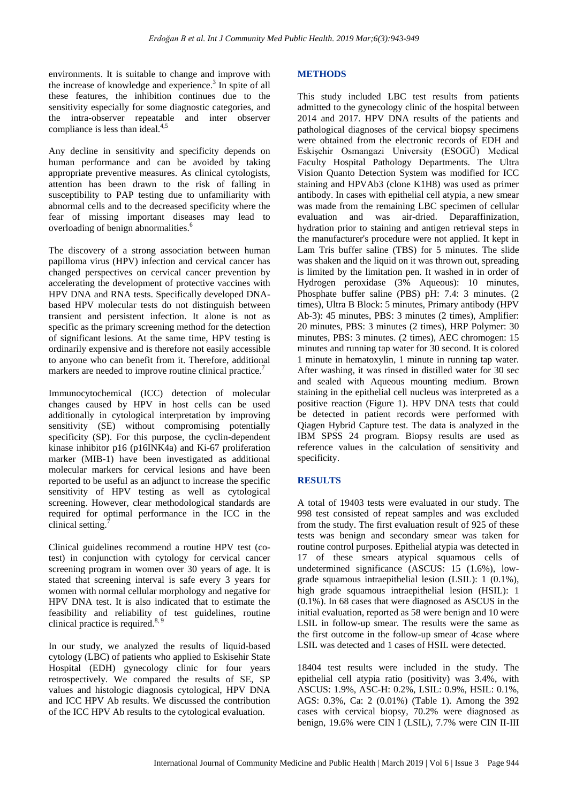environments. It is suitable to change and improve with the increase of knowledge and experience.<sup>3</sup> In spite of all these features, the inhibition continues due to the sensitivity especially for some diagnostic categories, and the intra-observer repeatable and inter observer compliance is less than ideal. $4,5$ 

Any decline in sensitivity and specificity depends on human performance and can be avoided by taking appropriate preventive measures. As clinical cytologists, attention has been drawn to the risk of falling in susceptibility to PAP testing due to unfamiliarity with abnormal cells and to the decreased specificity where the fear of missing important diseases may lead to overloading of benign abnormalities.<sup>6</sup>

The discovery of a strong association between human papilloma virus (HPV) infection and cervical cancer has changed perspectives on cervical cancer prevention by accelerating the development of protective vaccines with HPV DNA and RNA tests. Specifically developed DNAbased HPV molecular tests do not distinguish between transient and persistent infection. It alone is not as specific as the primary screening method for the detection of significant lesions. At the same time, HPV testing is ordinarily expensive and is therefore not easily accessible to anyone who can benefit from it. Therefore, additional markers are needed to improve routine clinical practice.<sup>7</sup>

Immunocytochemical (ICC) detection of molecular changes caused by HPV in host cells can be used additionally in cytological interpretation by improving sensitivity (SE) without compromising potentially specificity (SP). For this purpose, the cyclin-dependent kinase inhibitor p16 (p16INK4a) and Ki-67 proliferation marker (MIB-1) have been investigated as additional molecular markers for cervical lesions and have been reported to be useful as an adjunct to increase the specific sensitivity of HPV testing as well as cytological screening. However, clear methodological standards are required for optimal performance in the ICC in the clinical setting.<sup>7</sup>

Clinical guidelines recommend a routine HPV test (cotest) in conjunction with cytology for cervical cancer screening program in women over 30 years of age. It is stated that screening interval is safe every 3 years for women with normal cellular morphology and negative for HPV DNA test. It is also indicated that to estimate the feasibility and reliability of test guidelines, routine clinical practice is required.<sup>8, 9</sup>

In our study, we analyzed the results of liquid-based cytology (LBC) of patients who applied to Eskisehir State Hospital (EDH) gynecology clinic for four years retrospectively. We compared the results of SE, SP values and histologic diagnosis cytological, HPV DNA and ICC HPV Ab results. We discussed the contribution of the ICC HPV Ab results to the cytological evaluation.

## **METHODS**

This study included LBC test results from patients admitted to the gynecology clinic of the hospital between 2014 and 2017. HPV DNA results of the patients and pathological diagnoses of the cervical biopsy specimens were obtained from the electronic records of EDH and Eskişehir Osmangazi University (ESOGÜ) Medical Faculty Hospital Pathology Departments. The Ultra Vision Quanto Detection System was modified for ICC staining and HPVAb3 (clone K1H8) was used as primer antibody. In cases with epithelial cell atypia, a new smear was made from the remaining LBC specimen of cellular evaluation and was air-dried. Deparaffinization, hydration prior to staining and antigen retrieval steps in the manufacturer's procedure were not applied. It kept in Lam Tris buffer saline (TBS) for 5 minutes. The slide was shaken and the liquid on it was thrown out, spreading is limited by the limitation pen. It washed in in order of Hydrogen peroxidase (3% Aqueous): 10 minutes, Phosphate buffer saline (PBS) pH: 7.4: 3 minutes. (2 times), Ultra B Block: 5 minutes, Primary antibody (HPV Ab-3): 45 minutes, PBS: 3 minutes (2 times), Amplifier: 20 minutes, PBS: 3 minutes (2 times), HRP Polymer: 30 minutes, PBS: 3 minutes. (2 times), AEC chromogen: 15 minutes and running tap water for 30 second. It is colored 1 minute in hematoxylin, 1 minute in running tap water. After washing, it was rinsed in distilled water for 30 sec and sealed with Aqueous mounting medium. Brown staining in the epithelial cell nucleus was interpreted as a positive reaction (Figure 1). HPV DNA tests that could be detected in patient records were performed with Qiagen Hybrid Capture test. The data is analyzed in the IBM SPSS 24 program. Biopsy results are used as reference values in the calculation of sensitivity and specificity.

#### **RESULTS**

A total of 19403 tests were evaluated in our study. The 998 test consisted of repeat samples and was excluded from the study. The first evaluation result of 925 of these tests was benign and secondary smear was taken for routine control purposes. Epithelial atypia was detected in 17 of these smears atypical squamous cells of undetermined significance (ASCUS: 15 (1.6%), lowgrade squamous intraepithelial lesion (LSIL): 1 (0.1%), high grade squamous intraepithelial lesion (HSIL): 1 (0.1%). In 68 cases that were diagnosed as ASCUS in the initial evaluation, reported as 58 were benign and 10 were LSIL in follow-up smear. The results were the same as the first outcome in the follow-up smear of 4case where LSIL was detected and 1 cases of HSIL were detected.

18404 test results were included in the study. The epithelial cell atypia ratio (positivity) was 3.4%, with ASCUS: 1.9%, ASC-H: 0.2%, LSIL: 0.9%, HSIL: 0.1%, AGS: 0.3%, Ca: 2 (0.01%) (Table 1). Among the 392 cases with cervical biopsy, 70.2% were diagnosed as benign, 19.6% were CIN I (LSIL), 7.7% were CIN II-III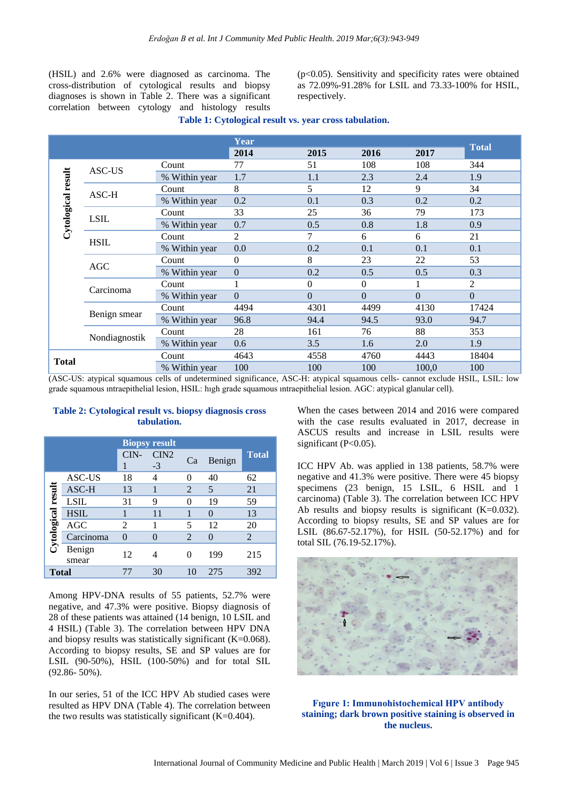(HSIL) and 2.6% were diagnosed as carcinoma. The cross-distribution of cytological results and biopsy diagnoses is shown in Table 2. There was a significant correlation between cytology and histology results

(p<0.05). Sensitivity and specificity rates were obtained as 72.09%-91.28% for LSIL and 73.33-100% for HSIL, respectively.

|  |  |  | Table 1: Cytological result vs. year cross tabulation. |
|--|--|--|--------------------------------------------------------|
|  |  |  |                                                        |

|                    |               |               | Year           |          |          |          |              |  |
|--------------------|---------------|---------------|----------------|----------|----------|----------|--------------|--|
|                    |               |               | 2014           | 2015     | 2016     | 2017     | <b>Total</b> |  |
|                    | ASC-US        | Count         | 77             | 51       | 108      | 108      | 344          |  |
| Cytological result |               | % Within year | 1.7            | 1.1      | 2.3      | 2.4      | 1.9          |  |
|                    | ASC-H         | Count         | 8              | 5        | 12       | 9        | 34           |  |
|                    |               | % Within year | 0.2            | 0.1      | 0.3      | 0.2      | 0.2          |  |
|                    | <b>LSIL</b>   | Count         | 33             | 25       | 36       | 79       | 173          |  |
|                    |               | % Within year | 0.7            | 0.5      | 0.8      | 1.8      | 0.9          |  |
|                    | <b>HSIL</b>   | Count         | 2              | 7        | 6        | 6        | 21           |  |
|                    |               | % Within year | 0.0            | 0.2      | 0.1      | 0.1      | 0.1          |  |
|                    | AGC           | Count         | $\overline{0}$ | 8        | 23       | 22       | 53           |  |
|                    |               | % Within year | $\Omega$       | 0.2      | 0.5      | 0.5      | 0.3          |  |
|                    | Carcinoma     | Count         |                | $\Omega$ | $\Omega$ | 1        | 2            |  |
|                    |               | % Within year | $\Omega$       | $\Omega$ | $\Omega$ | $\Omega$ | $\Omega$     |  |
|                    | Benign smear  | Count         | 4494           | 4301     | 4499     | 4130     | 17424        |  |
|                    |               | % Within year | 96.8           | 94.4     | 94.5     | 93.0     | 94.7         |  |
|                    | Nondiagnostik | Count         | 28             | 161      | 76       | 88       | 353          |  |
|                    |               | % Within year | 0.6            | 3.5      | 1.6      | 2.0      | 1.9          |  |
|                    |               | Count         | 4643           | 4558     | 4760     | 4443     | 18404        |  |
| <b>Total</b>       |               | % Within year | 100            | 100      | 100      | 100,0    | 100          |  |

(ASC-US: atypical squamous cells of undetermined significance, ASC-H: atypical squamous cells- cannot exclude HSIL, LSIL: low grade squamous ıntraepithelial lesion, HSIL: hıgh grade squamous ıntraepithelial lesion. AGC: atypical glanular cell).

#### **Table 2: Cytological result vs. biopsy diagnosis cross tabulation.**

|                    |                 | <b>Biopsy result</b> |                          |    |        |              |
|--------------------|-----------------|----------------------|--------------------------|----|--------|--------------|
|                    |                 | CIN-                 | CIN <sub>2</sub><br>$-3$ | Ca | Benign | <b>Total</b> |
|                    | ASC-US          | 18                   | 4                        | 0  | 40     | 62           |
|                    | ASC-H           | 13                   |                          | 2  | 5      | 21           |
|                    | <b>LSIL</b>     | 31                   | 9                        | 0  | 19     | 59           |
|                    | <b>HSIL</b>     |                      | 11                       | 1  | 0      | 13           |
|                    | <b>AGC</b>      | 2                    |                          | 5  | 12     | 20           |
| Cytological result | Carcinoma       | $\Omega$             | 0                        | 2  | 0      | 2            |
|                    | Benign<br>smear | 12                   | 4                        | 0  | 199    | 215          |
| Total              |                 | 77                   | 30                       | 10 | 275    | 392          |

Among HPV-DNA results of 55 patients, 52.7% were negative, and 47.3% were positive. Biopsy diagnosis of 28 of these patients was attained (14 benign, 10 LSIL and 4 HSIL) (Table 3). The correlation between HPV DNA and biopsy results was statistically significant (K=0.068). According to biopsy results, SE and SP values are for LSIL (90-50%), HSIL (100-50%) and for total SIL (92.86- 50%).

In our series, 51 of the ICC HPV Ab studied cases were resulted as HPV DNA (Table 4). The correlation between the two results was statistically significant  $(K=0.404)$ .

When the cases between 2014 and 2016 were compared with the case results evaluated in 2017, decrease in ASCUS results and increase in LSIL results were significant  $(P<0.05)$ .

ICC HPV Ab. was applied in 138 patients, 58.7% were negative and 41.3% were positive. There were 45 biopsy specimens (23 benign, 15 LSIL, 6 HSIL and 1 carcinoma) (Table 3). The correlation between ICC HPV Ab results and biopsy results is significant  $(K=0.032)$ . According to biopsy results, SE and SP values are for LSIL (86.67-52.17%), for HSIL (50-52.17%) and for total SIL (76.19-52.17%).



## **Fıgure 1: Immunohistochemical HPV antibody staining; dark brown positive staining is observed in the nucleus.**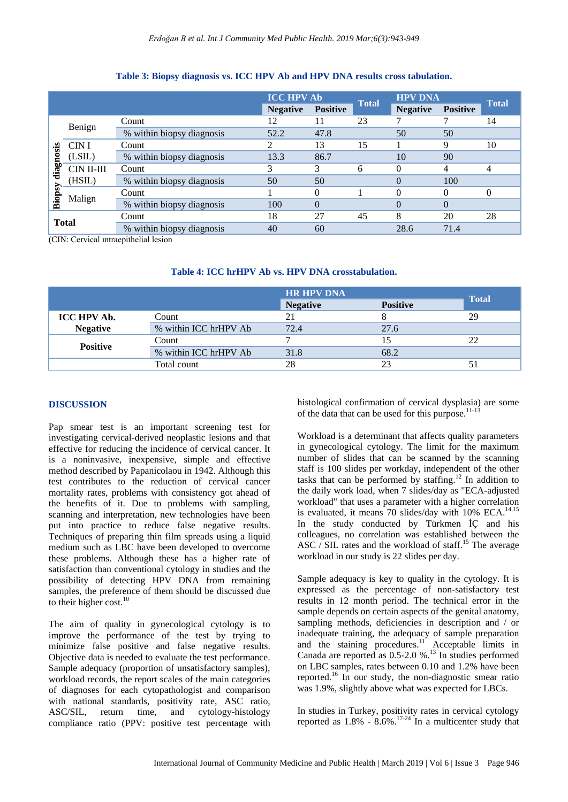|              |            |                           | <b>ICC HPV Ab</b> |                 | <b>Total</b> | <b>HPV DNA</b>  |                 | <b>Total</b> |
|--------------|------------|---------------------------|-------------------|-----------------|--------------|-----------------|-----------------|--------------|
|              |            |                           | <b>Negative</b>   | <b>Positive</b> |              | <b>Negative</b> | <b>Positive</b> |              |
|              | Benign     | Count                     | 12                |                 | 23           |                 |                 | 14           |
|              |            | % within biopsy diagnosis | 52.2              | 47.8            |              | 50              | 50              |              |
|              | CIN I      | Count                     |                   | 13              | 15           |                 | 9               | 10           |
| diagnosis    | (LSIL)     | % within biopsy diagnosis | 13.3              | 86.7            |              | 10              | 90              |              |
|              | CIN II-III | Count                     |                   | 3               | 6            | $\Omega$        | 4               | 4            |
| Biopsy       | (HSIL)     | % within biopsy diagnosis | 50                | 50              |              | 0               | 100             |              |
|              |            | Count                     |                   | $\Omega$        |              | $\Omega$        | $\Omega$        | $\theta$     |
|              | Malign     | % within biopsy diagnosis | 100               | $\Omega$        |              | $\Omega$        | $\Omega$        |              |
| <b>Total</b> |            | Count                     | 18                | 27              | 45           | 8               | 20              | 28           |
|              |            | % within biopsy diagnosis | 40                | 60              |              | 28.6            | 71.4            |              |

#### **Table 3: Biopsy diagnosis vs. ICC HPV Ab and HPV DNA results cross tabulation.**

(CIN: Cervical ıntraepithelial lesion

|  |  |  |  | Table 4: ICC hrHPV Ab vs. HPV DNA crosstabulation. |  |
|--|--|--|--|----------------------------------------------------|--|
|  |  |  |  |                                                    |  |

|                    |                       | <b>HR HPV DNA</b> |                 |       |
|--------------------|-----------------------|-------------------|-----------------|-------|
|                    |                       | <b>Negative</b>   | <b>Positive</b> | Total |
| <b>ICC HPV Ab.</b> | Count                 |                   |                 | 29    |
| <b>Negative</b>    | % within ICC hrHPV Ab | 72.4              | 27.6            |       |
|                    | Count                 |                   |                 |       |
| <b>Positive</b>    | % within ICC hrHPV Ab | 31.8              | 68.2            |       |
|                    | Total count           | 28                | つつ              |       |

# **DISCUSSION**

Pap smear test is an important screening test for investigating cervical-derived neoplastic lesions and that effective for reducing the incidence of cervical cancer. It is a noninvasive, inexpensive, simple and effective method described by Papanicolaou in 1942. Although this test contributes to the reduction of cervical cancer mortality rates, problems with consistency got ahead of the benefits of it. Due to problems with sampling, scanning and interpretation, new technologies have been put into practice to reduce false negative results. Techniques of preparing thin film spreads using a liquid medium such as LBC have been developed to overcome these problems. Although these has a higher rate of satisfaction than conventional cytology in studies and the possibility of detecting HPV DNA from remaining samples, the preference of them should be discussed due to their higher cost. $^{10}$ 

The aim of quality in gynecological cytology is to improve the performance of the test by trying to minimize false positive and false negative results. Objective data is needed to evaluate the test performance. Sample adequacy (proportion of unsatisfactory samples), workload records, the report scales of the main categories of diagnoses for each cytopathologist and comparison with national standards, positivity rate, ASC ratio, ASC/SIL, return time, and cytology-histology compliance ratio (PPV: positive test percentage with histological confirmation of cervical dysplasia) are some of the data that can be used for this purpose.<sup>11-13</sup>

Workload is a determinant that affects quality parameters in gynecological cytology. The limit for the maximum number of slides that can be scanned by the scanning staff is 100 slides per workday, independent of the other tasks that can be performed by staffing.<sup>12</sup> In addition to the daily work load, when 7 slides/day as "ECA-adjusted workload" that uses a parameter with a higher correlation is evaluated, it means 70 slides/day with  $10\%$  ECA.<sup>14,15</sup> In the study conducted by Türkmen İÇ and his colleagues, no correlation was established between the ASC / SIL rates and the workload of staff.<sup>15</sup> The average workload in our study is 22 slides per day.

Sample adequacy is key to quality in the cytology. It is expressed as the percentage of non-satisfactory test results in 12 month period. The technical error in the sample depends on certain aspects of the genital anatomy, sampling methods, deficiencies in description and / or inadequate training, the adequacy of sample preparation and the staining procedures.<sup>11</sup> Acceptable limits in Canada are reported as 0.5-2.0 %.<sup>13</sup> In studies performed on LBC samples, rates between 0.10 and 1.2% have been reported.<sup>16</sup> In our study, the non-diagnostic smear ratio was 1.9%, slightly above what was expected for LBCs.

In studies in Turkey, positivity rates in cervical cytology reported as  $1.8\%$  -  $8.6\%$ .<sup>17-24</sup> In a multicenter study that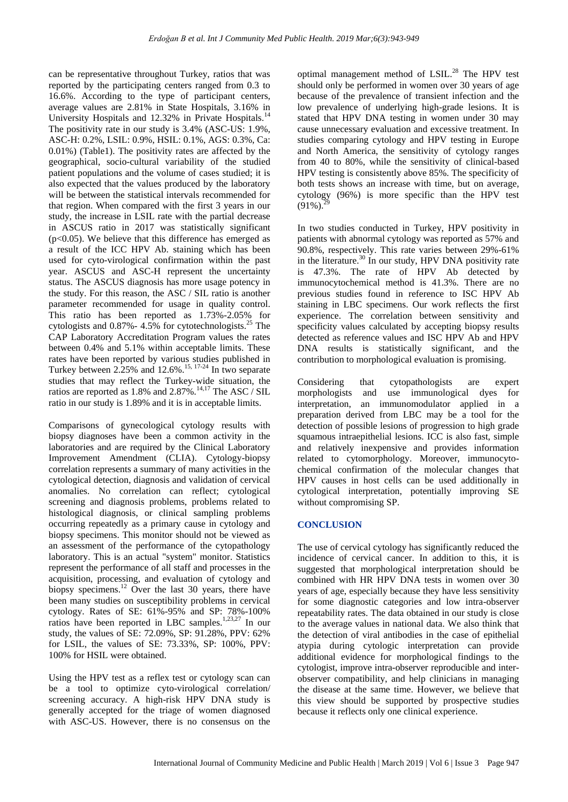can be representative throughout Turkey, ratios that was reported by the participating centers ranged from 0.3 to 16.6%. According to the type of participant centers, average values are 2.81% in State Hospitals, 3.16% in University Hospitals and 12.32% in Private Hospitals.<sup>14</sup> The positivity rate in our study is 3.4% (ASC-US: 1.9%, ASC-H: 0.2%, LSIL: 0.9%, HSIL: 0.1%, AGS: 0.3%, Ca: 0.01%) (Table1). The positivity rates are affected by the geographical, socio-cultural variability of the studied patient populations and the volume of cases studied; it is also expected that the values produced by the laboratory will be between the statistical intervals recommended for that region. When compared with the first 3 years in our study, the increase in LSIL rate with the partial decrease in ASCUS ratio in 2017 was statistically significant  $(p<0.05)$ . We believe that this difference has emerged as a result of the ICC HPV Ab. staining which has been used for cyto-virological confirmation within the past year. ASCUS and ASC-H represent the uncertainty status. The ASCUS diagnosis has more usage potency in the study. For this reason, the ASC / SIL ratio is another parameter recommended for usage in quality control. This ratio has been reported as 1.73%-2.05% for cytologists and 0.87%- 4.5% for cytotechnologists.<sup>25</sup> The CAP Laboratory Accreditation Program values the rates between 0.4% and 5.1% within acceptable limits. These rates have been reported by various studies published in Turkey between 2.25% and 12.6%.<sup>15, 17-24</sup> In two separate studies that may reflect the Turkey-wide situation, the ratios are reported as  $1.8\%$  and  $2.87\%$ .<sup>14,17</sup> The ASC / SIL ratio in our study is 1.89% and it is in acceptable limits.

Comparisons of gynecological cytology results with biopsy diagnoses have been a common activity in the laboratories and are required by the Clinical Laboratory Improvement Amendment (CLIA). Cytology-biopsy correlation represents a summary of many activities in the cytological detection, diagnosis and validation of cervical anomalies. No correlation can reflect; cytological screening and diagnosis problems, problems related to histological diagnosis, or clinical sampling problems occurring repeatedly as a primary cause in cytology and biopsy specimens. This monitor should not be viewed as an assessment of the performance of the cytopathology laboratory. This is an actual "system" monitor. Statistics represent the performance of all staff and processes in the acquisition, processing, and evaluation of cytology and biopsy specimens.<sup>12</sup> Over the last 30 years, there have been many studies on susceptibility problems in cervical cytology. Rates of SE: 61%-95% and SP: 78%-100% ratios have been reported in LBC samples.<sup>1,23,27</sup> In our study, the values of SE: 72.09%, SP: 91.28%, PPV: 62% for LSIL, the values of SE: 73.33%, SP: 100%, PPV: 100% for HSIL were obtained.

Using the HPV test as a reflex test or cytology scan can be a tool to optimize cyto-virological correlation/ screening accuracy. A high-risk HPV DNA study is generally accepted for the triage of women diagnosed with ASC-US. However, there is no consensus on the optimal management method of LSIL.<sup>28</sup> The HPV test should only be performed in women over 30 years of age because of the prevalence of transient infection and the low prevalence of underlying high-grade lesions. It is stated that HPV DNA testing in women under 30 may cause unnecessary evaluation and excessive treatment. In studies comparing cytology and HPV testing in Europe and North America, the sensitivity of cytology ranges from 40 to 80%, while the sensitivity of clinical-based HPV testing is consistently above 85%. The specificity of both tests shows an increase with time, but on average, cytology (96%) is more specific than the HPV test  $(91\%)$ .

In two studies conducted in Turkey, HPV positivity in patients with abnormal cytology was reported as 57% and 90.8%, respectively. This rate varies between 29%-61% in the literature.<sup>30</sup> In our study, HPV DNA positivity rate is 47.3%. The rate of HPV Ab detected by immunocytochemical method is 41.3%. There are no previous studies found in reference to ISC HPV Ab staining in LBC specimens. Our work reflects the first experience. The correlation between sensitivity and specificity values calculated by accepting biopsy results detected as reference values and ISC HPV Ab and HPV DNA results is statistically significant, and the contribution to morphological evaluation is promising.

Considering that cytopathologists are expert morphologists and use immunological dyes for interpretation, an immunomodulator applied in a preparation derived from LBC may be a tool for the detection of possible lesions of progression to high grade squamous intraepithelial lesions. ICC is also fast, simple and relatively inexpensive and provides information related to cytomorphology. Moreover, immunocytochemical confirmation of the molecular changes that HPV causes in host cells can be used additionally in cytological interpretation, potentially improving SE without compromising SP.

#### **CONCLUSION**

The use of cervical cytology has significantly reduced the incidence of cervical cancer. In addition to this, it is suggested that morphological interpretation should be combined with HR HPV DNA tests in women over 30 years of age, especially because they have less sensitivity for some diagnostic categories and low intra-observer repeatability rates. The data obtained in our study is close to the average values in national data. We also think that the detection of viral antibodies in the case of epithelial atypia during cytologic interpretation can provide additional evidence for morphological findings to the cytologist, improve intra-observer reproducible and interobserver compatibility, and help clinicians in managing the disease at the same time. However, we believe that this view should be supported by prospective studies because it reflects only one clinical experience.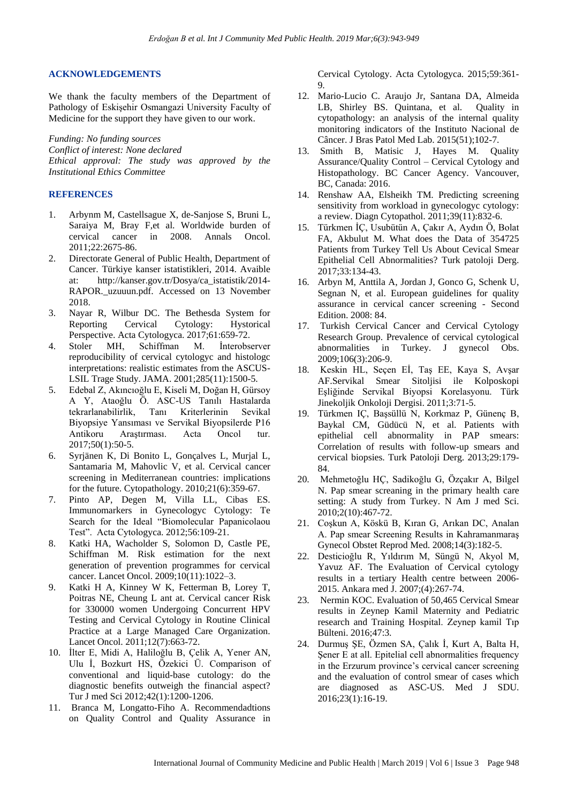#### **ACKNOWLEDGEMENTS**

We thank the faculty members of the Department of Pathology of Eskişehir Osmangazi University Faculty of Medicine for the support they have given to our work.

*Funding: No funding sources Conflict of interest: None declared Ethical approval: The study was approved by the Institutional Ethics Committee*

#### **REFERENCES**

- 1. Arbynm M, Castellsague X, de-Sanjose S, Bruni L, Saraiya M, Bray F,et al. Worldwide burden of cervical cancer in 2008. Annals Oncol. 2011;22:2675-86.
- 2. Directorate General of Public Health, Department of Cancer. Türkiye kanser istatistikleri, 2014. Avaible at: http://kanser.gov.tr/Dosya/ca\_istatistik/2014- RAPOR. uzuuun.pdf. Accessed on 13 November 2018.
- 3. Nayar R, Wilbur DC. The Bethesda System for Reporting Cervical Cytology: Hystorical Perspective. Acta Cytologyca. 2017;61:659-72.
- 4. Stoler MH, Schiffman M. İnterobserver reproducibility of cervical cytologyc and histologc interpretations: realistic estimates from the ASCUS-LSIL Trage Study. JAMA. 2001;285(11):1500-5.
- 5. Edebal Z, Akıncıoğlu E, Kiseli M, Doğan H, Gürsoy A Y, Ataoğlu Ö. ASC-US Tanılı Hastalarda tekrarlanabilirlik, Tanı Kriterlerinin Sevikal Biyopsiye Yansıması ve Servikal Biyopsilerde P16 Antikoru Araştırması. Acta Oncol tur. 2017;50(1):50-5.
- 6. Syrjänen K, Di Bonito L, Gonçalves L, Murjal L, Santamaria M, Mahovlic V, et al. Cervical cancer screening in Mediterranean countries: implications for the future. Cytopathology. 2010;21(6):359-67.
- 7. Pinto AP, Degen M, Villa LL, Cibas ES. Immunomarkers in Gynecologyc Cytology: Te Search for the Ideal "Biomolecular Papanicolaou Test". Acta Cytologyca. 2012;56:109-21.
- 8. Katki HA, Wacholder S, Solomon D, Castle PE, Schiffman M. Risk estimation for the next generation of prevention programmes for cervical cancer. Lancet Oncol. 2009;10(11):1022–3.
- 9. Katki H A, Kinney W K, Fetterman B, Lorey T, Poitras NE, Cheung L ant at. Cervical cancer Risk for 330000 women Undergoing Concurrent HPV Testing and Cervical Cytology in Routine Clinical Practice at a Large Managed Care Organization. Lancet Oncol. 2011;12(7):663-72.
- 10. İlter E, Midi A, Haliloğlu B, Çelik A, Yener AN, Ulu İ, Bozkurt HS, Özekici Ü. Comparison of conventional and liquid-base cutology: do the diagnostic benefits outweigh the financial aspect? Tur J med Sci 2012;42(1):1200-1206.
- 11. Branca M, Longatto-Fiho A. Recommendadtions on Quality Control and Quality Assurance in

Cervical Cytology. Acta Cytologyca. 2015;59:361- 9.

- 12. Mario-Lucio C. Araujo Jr, Santana DA, Almeida LB, Shirley BS. Quintana, et al. Quality in cytopathology: an analysis of the internal quality monitoring indicators of the Instituto Nacional de Câncer. J Bras Patol Med Lab. 2015(51);102-7.
- 13. Smith B, Matisic J, Hayes M. Quality Assurance/Quality Control – Cervical Cytology and Histopathology. BC Cancer Agency. Vancouver, BC, Canada: 2016.
- 14. Renshaw AA, Elsheikh TM. Predicting screening sensitivity from workload in gynecologyc cytology: a review. Diagn Cytopathol. 2011;39(11):832-6.
- 15. Türkmen İÇ, Usubütün A, Çakır A, Aydın Ö, Bolat FA, Akbulut M. What does the Data of 354725 Patients from Turkey Tell Us About Cevical Smear Epithelial Cell Abnormalities? Turk patoloji Derg. 2017;33:134-43.
- 16. Arbyn M, Anttila A, Jordan J, Gonco G, Schenk U, Segnan N, et al. European guidelines for quality assurance in cervical cancer screening - Second Edition. 2008: 84.
- 17. Turkish Cervical Cancer and Cervical Cytology Research Group. Prevalence of cervical cytological abnormalities in Turkey. J gynecol Obs. 2009;106(3):206-9.
- 18. Keskin HL, Seçen Eİ, Taş EE, Kaya S, Avşar AF.Servikal Smear Sitoljisi ile Kolposkopi Eşliğinde Servikal Biyopsi Korelasyonu. Türk Jinekoljik Onkoloji Dergisi. 2011;3:71-5.
- 19. Türkmen IÇ, Başsüllü N, Korkmaz P, Günenç B, Baykal CM, Güdücü N, et al. Patients with epithelial cell abnormality in PAP smears: Correlation of results with follow-up smears and cervical biopsies. Turk Patoloji Derg. 2013;29:179- 84.
- 20. Mehmetoğlu HÇ, Sadikoğlu G, Özçakır A, Bilgel N. Pap smear screaning in the primary health care setting: A study from Turkey. N Am J med Sci. 2010;2(10):467-72.
- 21. Coşkun A, Köskü B, Kıran G, Arıkan DC, Analan A. Pap smear Screening Results in Kahramanmaraş Gynecol Obstet Reprod Med. 2008;14(3):182-5.
- 22. Desticioğlu R, Yıldırım M, Süngü N, Akyol M, Yavuz AF. The Evaluation of Cervical cytology results in a tertiary Health centre between 2006- 2015. Ankara med J. 2007;(4):267-74.
- 23. Nermin KOC. Evaluation of 50,465 Cervical Smear results in Zeynep Kamil Maternity and Pediatric research and Training Hospital. Zeynep kamil Tıp Bülteni. 2016;47:3.
- 24. Durmuş ŞE, Özmen SA, Çalık İ, Kurt A, Balta H, Şener E at all. Epitelial cell abnormalities frequency in the Erzurum province's cervical cancer screening and the evaluation of control smear of cases which are diagnosed as ASC-US. Med J SDU. 2016;23(1):16-19.